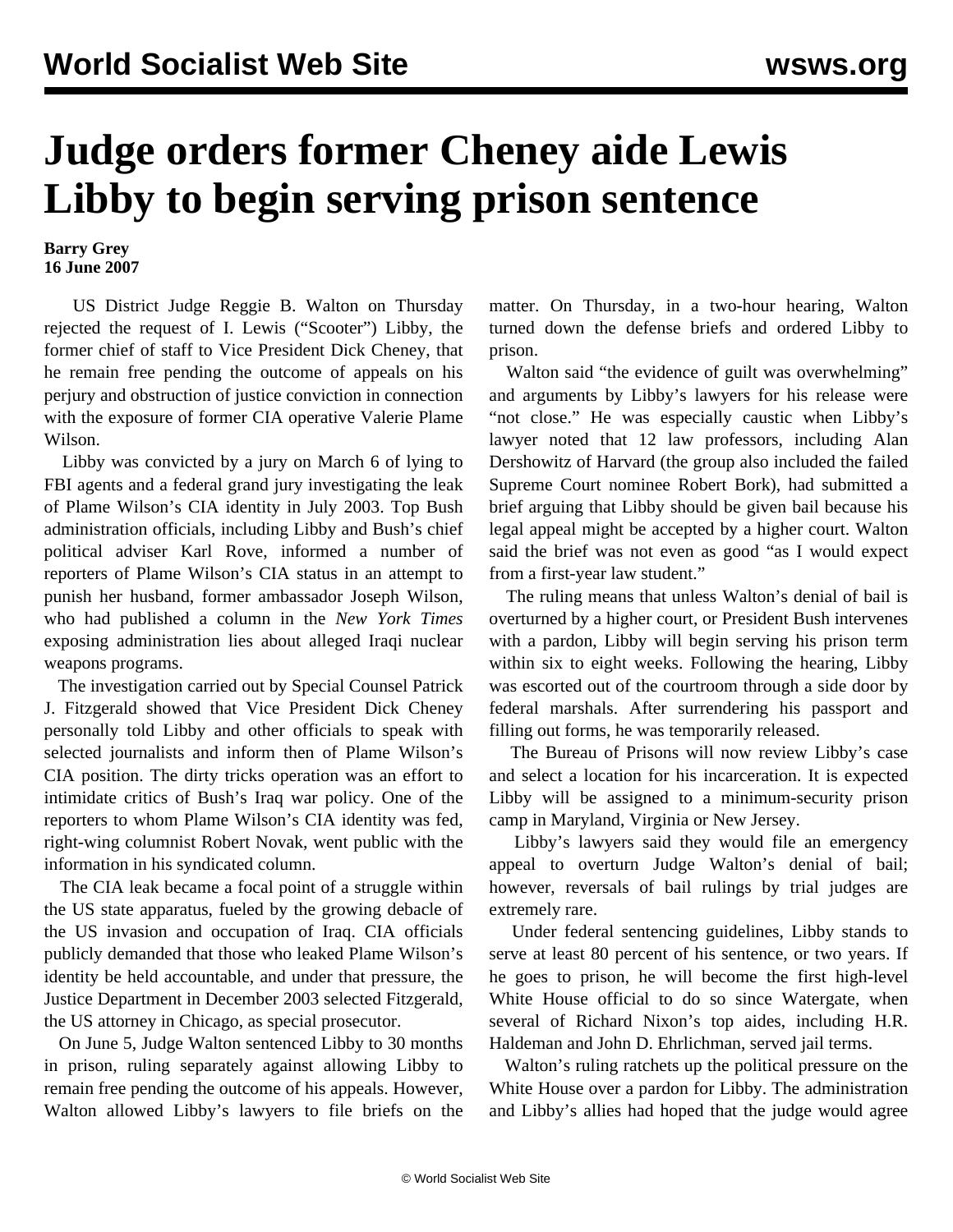## **Judge orders former Cheney aide Lewis Libby to begin serving prison sentence**

## **Barry Grey 16 June 2007**

 US District Judge Reggie B. Walton on Thursday rejected the request of I. Lewis ("Scooter") Libby, the former chief of staff to Vice President Dick Cheney, that he remain free pending the outcome of appeals on his perjury and obstruction of justice conviction in connection with the exposure of former CIA operative Valerie Plame Wilson.

 Libby was convicted by a jury on March 6 of lying to FBI agents and a federal grand jury investigating the leak of Plame Wilson's CIA identity in July 2003. Top Bush administration officials, including Libby and Bush's chief political adviser Karl Rove, informed a number of reporters of Plame Wilson's CIA status in an attempt to punish her husband, former ambassador Joseph Wilson, who had published a column in the *New York Times* exposing administration lies about alleged Iraqi nuclear weapons programs.

 The investigation carried out by Special Counsel Patrick J. Fitzgerald showed that Vice President Dick Cheney personally told Libby and other officials to speak with selected journalists and inform then of Plame Wilson's CIA position. The dirty tricks operation was an effort to intimidate critics of Bush's Iraq war policy. One of the reporters to whom Plame Wilson's CIA identity was fed, right-wing columnist Robert Novak, went public with the information in his syndicated column.

 The CIA leak became a focal point of a struggle within the US state apparatus, fueled by the growing debacle of the US invasion and occupation of Iraq. CIA officials publicly demanded that those who leaked Plame Wilson's identity be held accountable, and under that pressure, the Justice Department in December 2003 selected Fitzgerald, the US attorney in Chicago, as special prosecutor.

 On June 5, Judge Walton sentenced Libby to 30 months in prison, ruling separately against allowing Libby to remain free pending the outcome of his appeals. However, Walton allowed Libby's lawyers to file briefs on the matter. On Thursday, in a two-hour hearing, Walton turned down the defense briefs and ordered Libby to prison.

Walton said "the evidence of guilt was overwhelming" and arguments by Libby's lawyers for his release were "not close." He was especially caustic when Libby's lawyer noted that 12 law professors, including Alan Dershowitz of Harvard (the group also included the failed Supreme Court nominee Robert Bork), had submitted a brief arguing that Libby should be given bail because his legal appeal might be accepted by a higher court. Walton said the brief was not even as good "as I would expect from a first-year law student."

 The ruling means that unless Walton's denial of bail is overturned by a higher court, or President Bush intervenes with a pardon, Libby will begin serving his prison term within six to eight weeks. Following the hearing, Libby was escorted out of the courtroom through a side door by federal marshals. After surrendering his passport and filling out forms, he was temporarily released.

 The Bureau of Prisons will now review Libby's case and select a location for his incarceration. It is expected Libby will be assigned to a minimum-security prison camp in Maryland, Virginia or New Jersey.

 Libby's lawyers said they would file an emergency appeal to overturn Judge Walton's denial of bail; however, reversals of bail rulings by trial judges are extremely rare.

 Under federal sentencing guidelines, Libby stands to serve at least 80 percent of his sentence, or two years. If he goes to prison, he will become the first high-level White House official to do so since Watergate, when several of Richard Nixon's top aides, including H.R. Haldeman and John D. Ehrlichman, served jail terms.

 Walton's ruling ratchets up the political pressure on the White House over a pardon for Libby. The administration and Libby's allies had hoped that the judge would agree